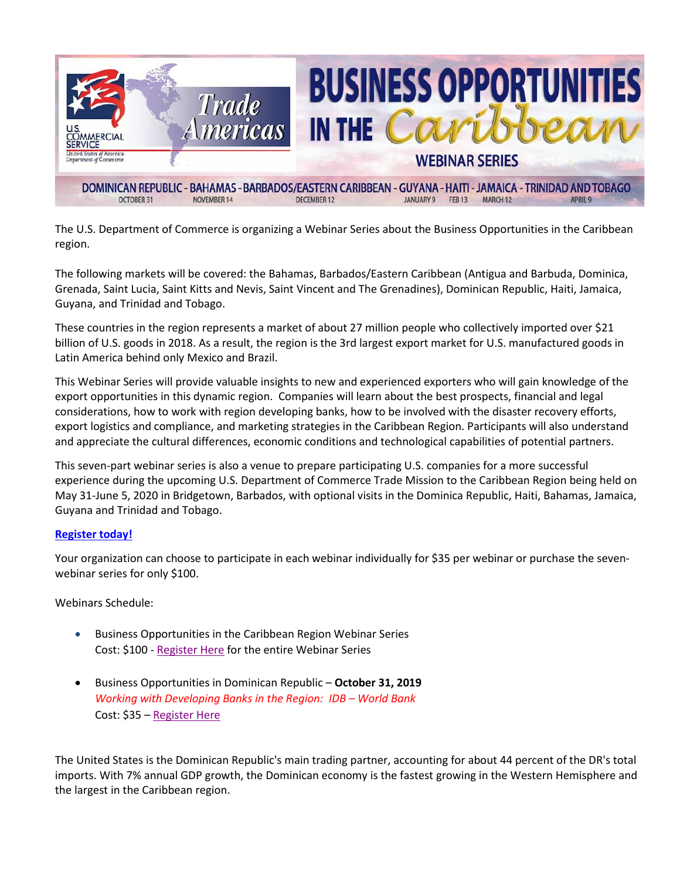

The U.S. Department of Commerce is organizing a Webinar Series about the Business Opportunities in the Caribbean region.

The following markets will be covered: the Bahamas, Barbados/Eastern Caribbean (Antigua and Barbuda, Dominica, Grenada, Saint Lucia, Saint Kitts and Nevis, Saint Vincent and The Grenadines), Dominican Republic, Haiti, Jamaica, Guyana, and Trinidad and Tobago.

These countries in the region represents a market of about 27 million people who collectively imported over \$21 billion of U.S. goods in 2018. As a result, the region is the 3rd largest export market for U.S. manufactured goods in Latin America behind only Mexico and Brazil.

This Webinar Series will provide valuable insights to new and experienced exporters who will gain knowledge of the export opportunities in this dynamic region. Companies will learn about the best prospects, financial and legal considerations, how to work with region developing banks, how to be involved with the disaster recovery efforts, export logistics and compliance, and marketing strategies in the Caribbean Region. Participants will also understand and appreciate the cultural differences, economic conditions and technological capabilities of potential partners.

This seven-part webinar series is also a venue to prepare participating U.S. companies for a more successful experience during the upcoming U.S. Department of Commerce Trade Mission to the Caribbean Region being held on May 31-June 5, 2020 in Bridgetown, Barbados, with optional visits in the Dominica Republic, Haiti, Bahamas, Jamaica, Guyana and Trinidad and Tobago.

## **[Register today!](https://emenuapps.ita.doc.gov/ePublic/event/editWebReg.do?SmartCode=0QCY)**

Your organization can choose to participate in each webinar individually for \$35 per webinar or purchase the sevenwebinar series for only \$100.

Webinars Schedule:

- Business Opportunities in the Caribbean Region Webinar Series Cost: \$100 - [Register Here](https://emenuapps.ita.doc.gov/ePublic/event/editWebReg.do?SmartCode=0QCY) for the entire Webinar Series
- Business Opportunities in Dominican Republic **October 31, 2019** *Working with Developing Banks in the Region: IDB – World Bank* Cost: \$35 – [Register Here](https://emenuapps.ita.doc.gov/ePublic/event/editWebReg.do?SmartCode=0QD4)

The United States is the Dominican Republic's main trading partner, accounting for about 44 percent of the DR's total imports. With 7% annual GDP growth, the Dominican economy is the fastest growing in the Western Hemisphere and the largest in the Caribbean region.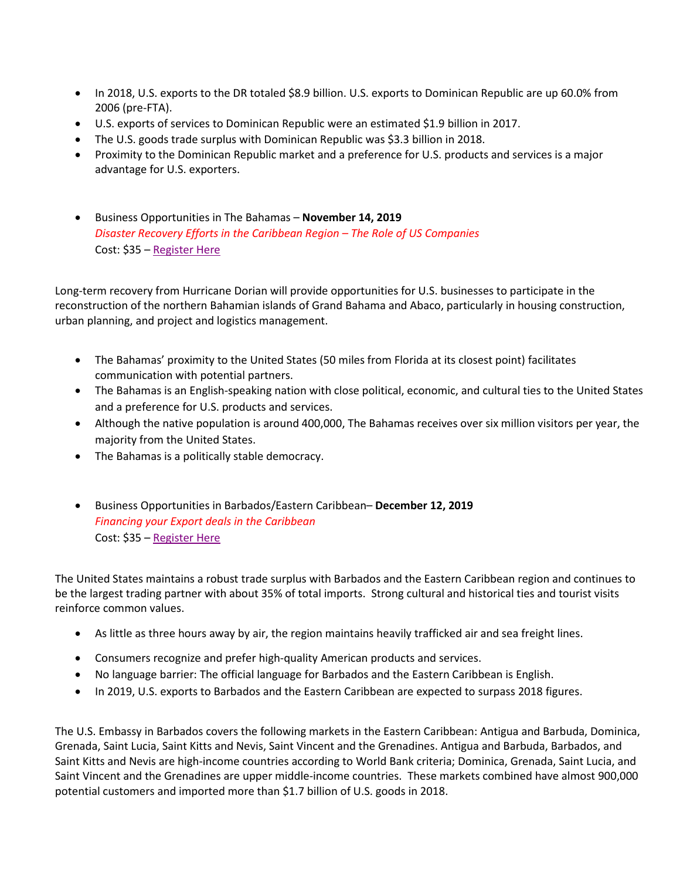- In 2018, U.S. exports to the DR totaled \$8.9 billion. U.S. exports to Dominican Republic are up 60.0% from 2006 (pre-FTA).
- U.S. exports of services to Dominican Republic were an estimated \$1.9 billion in 2017.
- The U.S. goods trade surplus with Dominican Republic was \$3.3 billion in 2018.
- Proximity to the Dominican Republic market and a preference for U.S. products and services is a major advantage for U.S. exporters.
- Business Opportunities in The Bahamas **November 14, 2019**  *Disaster Recovery Efforts in the Caribbean Region – The Role of US Companies* Cost: \$35 – [Register Here](https://emenuapps.ita.doc.gov/ePublic/event/editWebReg.do?SmartCode=0QD3)

Long-term recovery from Hurricane Dorian will provide opportunities for U.S. businesses to participate in the reconstruction of the northern Bahamian islands of Grand Bahama and Abaco, particularly in housing construction, urban planning, and project and logistics management.

- The Bahamas' proximity to the United States (50 miles from Florida at its closest point) facilitates communication with potential partners.
- The Bahamas is an English-speaking nation with close political, economic, and cultural ties to the United States and a preference for U.S. products and services.
- Although the native population is around 400,000, The Bahamas receives over six million visitors per year, the majority from the United States.
- The Bahamas is a politically stable democracy.
- Business Opportunities in Barbados/Eastern Caribbean– **December 12, 2019**  *Financing your Export deals in the Caribbean* Cost: \$35 – [Register Here](https://emenuapps.ita.doc.gov/ePublic/event/editWebReg.do?SmartCode=0QD2)

The United States maintains a robust trade surplus with Barbados and the Eastern Caribbean region and continues to be the largest trading partner with about 35% of total imports. Strong cultural and historical ties and tourist visits reinforce common values.

- As little as three hours away by air, the region maintains heavily trafficked air and sea freight lines.
- Consumers recognize and prefer high-quality American products and services.
- No language barrier: The official language for Barbados and the Eastern Caribbean is English.
- In 2019, U.S. exports to Barbados and the Eastern Caribbean are expected to surpass 2018 figures.

The U.S. Embassy in Barbados covers the following markets in the Eastern Caribbean: Antigua and Barbuda, Dominica, Grenada, Saint Lucia, Saint Kitts and Nevis, Saint Vincent and the Grenadines. Antigua and Barbuda, Barbados, and Saint Kitts and Nevis are high-income countries according to World Bank criteria; Dominica, Grenada, Saint Lucia, and Saint Vincent and the Grenadines are upper middle-income countries. These markets combined have almost 900,000 potential customers and imported more than \$1.7 billion of U.S. goods in 2018.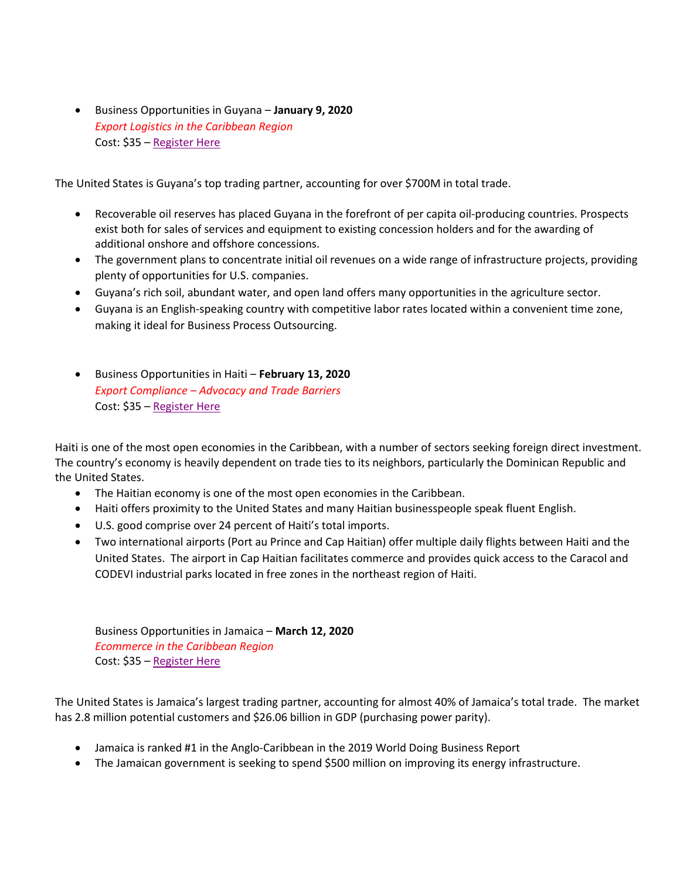• Business Opportunities in Guyana – **January 9, 2020**  *Export Logistics in the Caribbean Region* Cost: \$35 – [Register Here](https://emenuapps.ita.doc.gov/ePublic/event/editWebReg.do?SmartCode=0QD1)

The United States is Guyana's top trading partner, accounting for over \$700M in total trade.

- Recoverable oil reserves has placed Guyana in the forefront of per capita oil-producing countries. Prospects exist both for sales of services and equipment to existing concession holders and for the awarding of additional onshore and offshore concessions.
- The government plans to concentrate initial oil revenues on a wide range of infrastructure projects, providing plenty of opportunities for U.S. companies.
- Guyana's rich soil, abundant water, and open land offers many opportunities in the agriculture sector.
- Guyana is an English-speaking country with competitive labor rates located within a convenient time zone, making it ideal for Business Process Outsourcing.
- Business Opportunities in Haiti **February 13, 2020**  *Export Compliance – Advocacy and Trade Barriers*  Cost: \$35 – [Register Here](https://emenuapps.ita.doc.gov/ePublic/event/editWebReg.do?SmartCode=0QD5)

Haiti is one of the most open economies in the Caribbean, with a number of sectors seeking foreign direct investment. The country's economy is heavily dependent on trade ties to its neighbors, particularly the Dominican Republic and the United States.

- The Haitian economy is one of the most open economies in the Caribbean.
- Haiti offers proximity to the United States and many Haitian businesspeople speak fluent English.
- U.S. good comprise over 24 percent of Haiti's total imports.
- Two international airports (Port au Prince and Cap Haitian) offer multiple daily flights between Haiti and the United States. The airport in Cap Haitian facilitates commerce and provides quick access to the Caracol and CODEVI industrial parks located in free zones in the northeast region of Haiti.

Business Opportunities in Jamaica – **March 12, 2020**  *Ecommerce in the Caribbean Region* Cost: \$35 – [Register Here](https://emenuapps.ita.doc.gov/ePublic/event/editWebReg.do?SmartCode=0QD0)

The United States is Jamaica's largest trading partner, accounting for almost 40% of Jamaica's total trade. The market has 2.8 million potential customers and \$26.06 billion in GDP (purchasing power parity).

- Jamaica is ranked #1 in the Anglo-Caribbean in the 2019 World Doing Business Report
- The Jamaican government is seeking to spend \$500 million on improving its energy infrastructure.